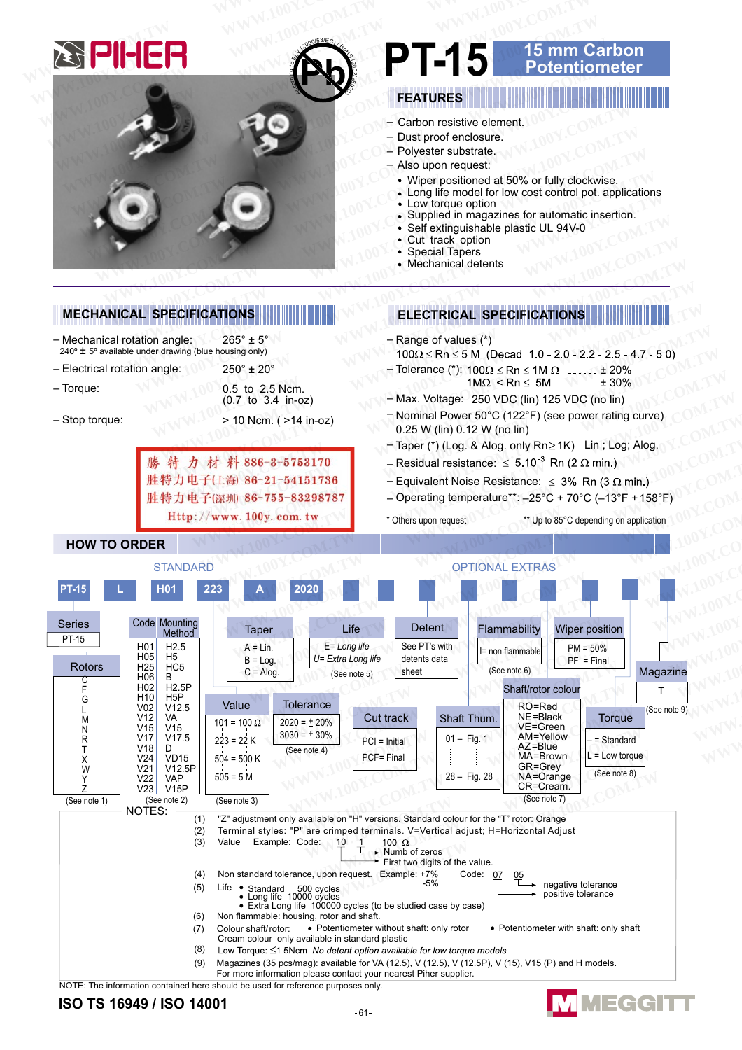

# **15 mm Carbon<br>Potentiometer**

- 
- Wiper positioned at 50% or fully clockwise. Long life model for low cost control pot. applications
- Supplied in magazines for automatic insertion.
- Self extinguishable plastic UL 94V-0

### **MECHANICAL SPECIFICATIONS**

- Mechanical rotation angle:  $265^\circ \pm 5^\circ$
- 240° ± 5° available under drawing (blue housing only)  $250^{\circ}$  +  $20^{\circ}$ - Electrical rotation angle:
- $-$ Torque: 0.5 to 2.5 Ncm.
- Stop torque:

|                    | $210$ NGM. ( $214$ In-02) |
|--------------------|---------------------------|
| 勝特力材料886-3-5753170 |                           |
|                    | 胜特力电子(上海) 86-21-54151736  |
|                    | 胜特力电子(深圳 86-755-83298787  |
|                    | $H++n \cdot // +$         |

(0.7 to 3.4 in-oz)

### **ELECTRICAL SPECIFICATIONS**

- $-$  Range of values  $(*)$
- $100\Omega \le Rn \le 5$  M (Decad. 1.0 2.0 2.2 2.5 4.7 5.0)
- Tolerance (\*):  $100\Omega \le Rn \le 1M \Omega$  ......  $\pm 20\%$  $1M\Omega < Rn \le 5M$  ..... ± 30%
- Max. Voltage: 250 VDC (lin) 125 VDC (no lin)
- Nominal Power 50°C (122°F) (see power rating curve) 0.25 W (lin) 0.12 W (no lin)
- Taper (\*) (Log. & Alog. only Rn ≥ 1K) Lin; Log; Alog.
- Residual resistance:  $\leq 5.10^{-3}$  Rn (2  $\Omega$  min.)
- Equivalent Noise Resistance:  $\leq 3\%$  Rn (3  $\Omega$  min.)
- Operating temperature\*\*: -25°C + 70°C (-13°F + 158°F
- \* Others upon request
	- \*\* Up to 85°C depending on application

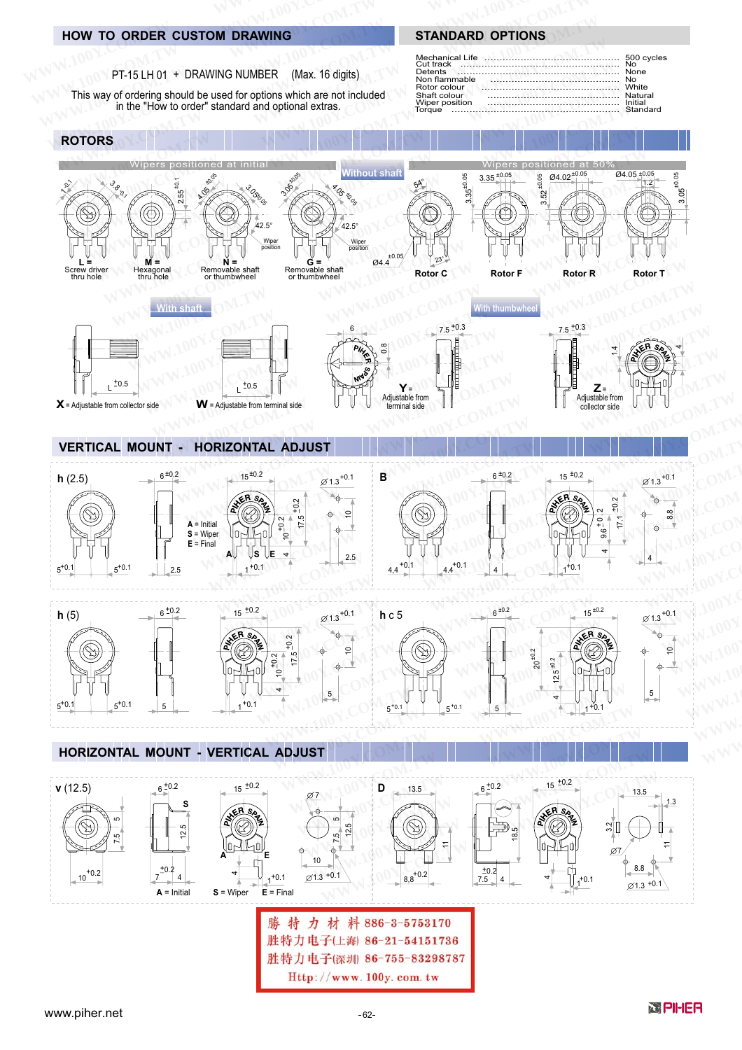### **HOW TO ORDER CUSTOM DRAWING**

PT-15 LH 01 + DRAWING NUMBER (Max. 16 digits)

This way of ordering should be used for options which are not included<br>in the "How to order" standard and optional extras.

## 500 cycles

**STANDARD OPTIONS** 

| Non flammable<br>Rotor colour<br>Shaft colour | Cut track and contain the contact the contact of the No<br>Detents <b>Detents None</b><br><b>White</b> White |  |
|-----------------------------------------------|--------------------------------------------------------------------------------------------------------------|--|
|                                               |                                                                                                              |  |

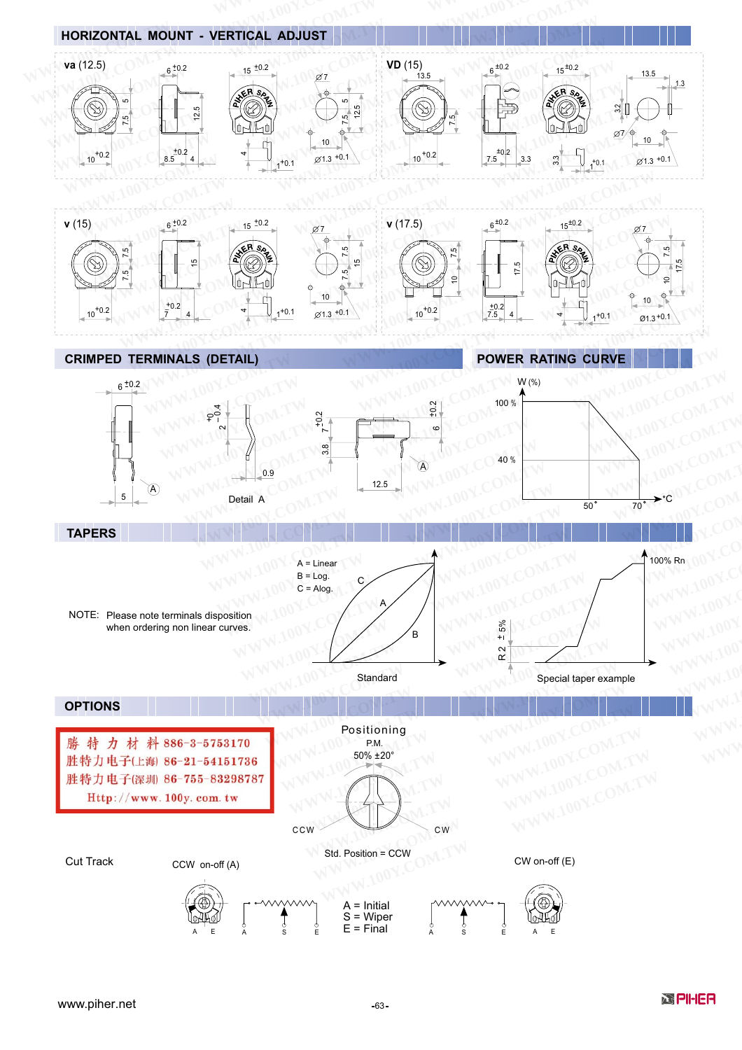

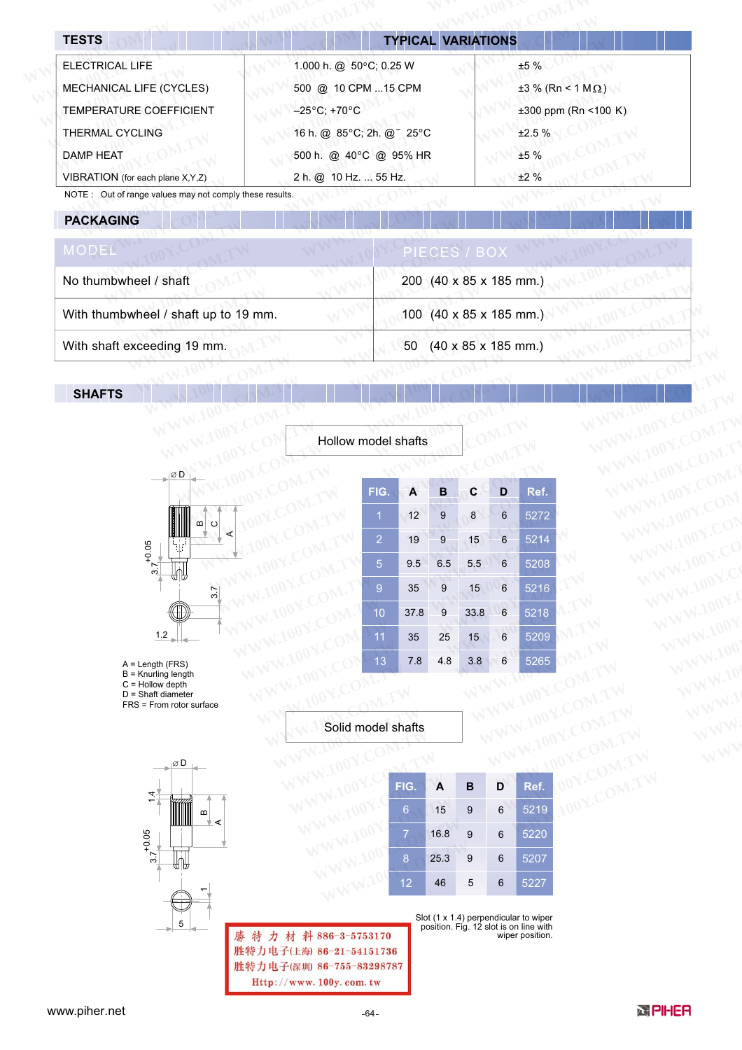| <b>TESTS</b>                     | <b>TYPICAL VARIATIONS</b>         |                           |
|----------------------------------|-----------------------------------|---------------------------|
| <b>ELECTRICAL LIFE</b>           | 1.000 h. @ 50°C; 0.25 W           | ±5%                       |
| MECHANICAL LIFE (CYCLES)         | 500 @ 10 CPM 15 CPM               | $±3$ % (Rn < 1 MΩ)        |
| <b>TEMPERATURE COEFFICIENT</b>   | $-25^{\circ}$ C; +70 $^{\circ}$ C | $\pm 300$ ppm (Rn <100 K) |
| <b>THERMAL CYCLING</b>           | 16 h. @ 85°C; 2h. @ 25°C          | ±2.5%                     |
| <b>DAMP HEAT</b>                 | 500 h. @ 40°C @ 95% HR            | ±5%                       |
| VIBRATION (for each plane X,Y,Z) | 2 h. @ 10 Hz.  55 Hz.             | ±2%                       |

NOTE: Out of range values may not comply these results.

### **PACKAGING**

| MODEL                                | PIECES / BOX                                               |
|--------------------------------------|------------------------------------------------------------|
| No thumbwheel / shaft                | 200 $(40 \times 85 \times 185 \text{ mm.})$                |
| With thumbwheel / shaft up to 19 mm. | 100 $(40 \times 85 \times 185 \text{ mm.})$                |
| With shaft exceeding 19 mm.          | $(40 \times 85 \times 185 \text{ mm.})$<br>50 <sup>°</sup> |

Hollow model shafts

### **SHAFTS**



| model shafts   |      |     |      |                |                   |  |
|----------------|------|-----|------|----------------|-------------------|--|
|                |      |     |      |                |                   |  |
| FIG.           | A    | В   | C    | D              | Ref.              |  |
| 1              | 12   | 9   | 8    | $\overline{6}$ | 5272              |  |
| $\overline{2}$ | 19   | 9   | 15   | $6\phantom{1}$ | $\frac{1}{5214}$  |  |
| 5              | 9.5  | 6.5 | 5.5  | 6              | 5208              |  |
| 9              | 35   | 9   | 15   | 6              | 5216              |  |
| 10             | 37.8 | 9   | 33.8 | 6              | 5218              |  |
| 11             | 35   | 25  | 15   | $\overline{6}$ | 5209              |  |
| 13             | 7.8  | 4.8 | 3.8  | 6              | $\overline{5265}$ |  |
|                |      |     |      |                |                   |  |
| nodel shafts   |      |     |      |                |                   |  |

 $A = Length (FRS)$ 

 $B =$  Knurling length  $C =$  Hollow depth

 $D = Shaff diameter$ 

FRS = From rotor surface

Solid model shafts



| I shafts         |      |   |   |      |  |
|------------------|------|---|---|------|--|
|                  |      |   |   |      |  |
| FIG.             | A    | B | D | Ref. |  |
| $6\phantom{1}6$  | 15   | 9 | 6 | 5219 |  |
|                  | 16.8 | 9 | 6 | 5220 |  |
| $\boldsymbol{8}$ | 25.3 | 9 | 6 | 5207 |  |
| 12               | 46   | 5 | 6 | 5227 |  |

WWW.100Y.COM.TW

LOOY.COM.TW

特力材料886-3-5753170 勝 胜特力电子(上海) 86-21-54151736 胜特力电子(深圳) 86-755-83298787 Http://www.100y.com.tw

Slot  $(1 \times 1.4)$  perpendicular to wiper<br>position. Fig. 12 slot is on line with wiper position.

www.piher.net





WWW.100Y.COM.TW

WWW.IU